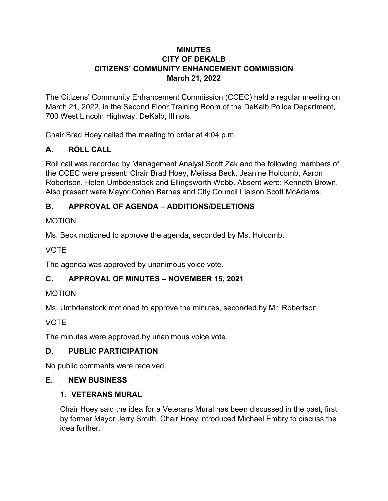#### **MINUTES CITY OF DEKALB CITIZENS' COMMUNITY ENHANCEMENT COMMISSION March 21, 2022**

The Citizens' Community Enhancement Commission (CCEC) held a regular meeting on March 21, 2022, in the Second Floor Training Room of the DeKalb Police Department, 700 West Lincoln Highway, DeKalb, Illinois.

Chair Brad Hoey called the meeting to order at 4:04 p.m.

### **A. ROLL CALL**

Roll call was recorded by Management Analyst Scott Zak and the following members of the CCEC were present: Chair Brad Hoey, Melissa Beck, Jeanine Holcomb, Aaron Robertson, Helen Umbdenstock and Ellingsworth Webb. Absent were: Kenneth Brown. Also present were Mayor Cohen Barnes and City Council Liaison Scott McAdams.

### **B. APPROVAL OF AGENDA – ADDITIONS/DELETIONS**

#### **MOTION**

Ms. Beck motioned to approve the agenda, seconded by Ms. Holcomb.

VOTE

The agenda was approved by unanimous voice vote.

### **C. APPROVAL OF MINUTES – NOVEMBER 15, 2021**

#### MOTION

Ms. Umbdenstock motioned to approve the minutes, seconded by Mr. Robertson.

### VOTE

The minutes were approved by unanimous voice vote.

### **D. PUBLIC PARTICIPATION**

No public comments were received.

### **E. NEW BUSINESS**

#### **1. VETERANS MURAL**

Chair Hoey said the idea for a Veterans Mural has been discussed in the past, first by former Mayor Jerry Smith. Chair Hoey introduced Michael Embry to discuss the idea further.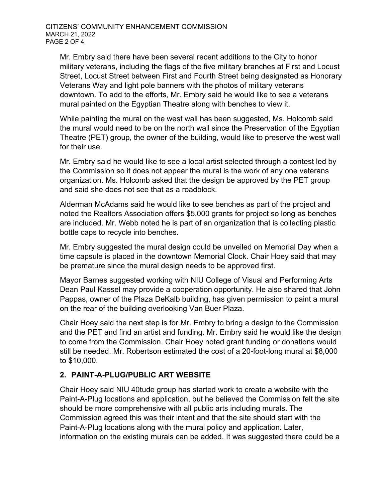Mr. Embry said there have been several recent additions to the City to honor military veterans, including the flags of the five military branches at First and Locust Street, Locust Street between First and Fourth Street being designated as Honorary Veterans Way and light pole banners with the photos of military veterans downtown. To add to the efforts, Mr. Embry said he would like to see a veterans mural painted on the Egyptian Theatre along with benches to view it.

While painting the mural on the west wall has been suggested, Ms. Holcomb said the mural would need to be on the north wall since the Preservation of the Egyptian Theatre (PET) group, the owner of the building, would like to preserve the west wall for their use.

Mr. Embry said he would like to see a local artist selected through a contest led by the Commission so it does not appear the mural is the work of any one veterans organization. Ms. Holcomb asked that the design be approved by the PET group and said she does not see that as a roadblock.

Alderman McAdams said he would like to see benches as part of the project and noted the Realtors Association offers \$5,000 grants for project so long as benches are included. Mr. Webb noted he is part of an organization that is collecting plastic bottle caps to recycle into benches.

Mr. Embry suggested the mural design could be unveiled on Memorial Day when a time capsule is placed in the downtown Memorial Clock. Chair Hoey said that may be premature since the mural design needs to be approved first.

Mayor Barnes suggested working with NIU College of Visual and Performing Arts Dean Paul Kassel may provide a cooperation opportunity. He also shared that John Pappas, owner of the Plaza DeKalb building, has given permission to paint a mural on the rear of the building overlooking Van Buer Plaza.

Chair Hoey said the next step is for Mr. Embry to bring a design to the Commission and the PET and find an artist and funding. Mr. Embry said he would like the design to come from the Commission. Chair Hoey noted grant funding or donations would still be needed. Mr. Robertson estimated the cost of a 20-foot-long mural at \$8,000 to \$10,000.

### **2. PAINT-A-PLUG/PUBLIC ART WEBSITE**

Chair Hoey said NIU 40tude group has started work to create a website with the Paint-A-Plug locations and application, but he believed the Commission felt the site should be more comprehensive with all public arts including murals. The Commission agreed this was their intent and that the site should start with the Paint-A-Plug locations along with the mural policy and application. Later, information on the existing murals can be added. It was suggested there could be a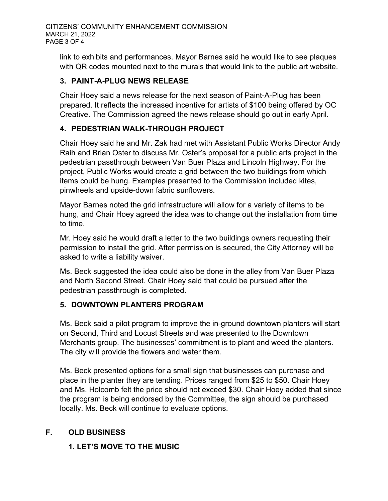link to exhibits and performances. Mayor Barnes said he would like to see plaques with QR codes mounted next to the murals that would link to the public art website.

### **3. PAINT-A-PLUG NEWS RELEASE**

Chair Hoey said a news release for the next season of Paint-A-Plug has been prepared. It reflects the increased incentive for artists of \$100 being offered by OC Creative. The Commission agreed the news release should go out in early April.

# **4. PEDESTRIAN WALK-THROUGH PROJECT**

Chair Hoey said he and Mr. Zak had met with Assistant Public Works Director Andy Raih and Brian Oster to discuss Mr. Oster's proposal for a public arts project in the pedestrian passthrough between Van Buer Plaza and Lincoln Highway. For the project, Public Works would create a grid between the two buildings from which items could be hung. Examples presented to the Commission included kites, pinwheels and upside-down fabric sunflowers.

Mayor Barnes noted the grid infrastructure will allow for a variety of items to be hung, and Chair Hoey agreed the idea was to change out the installation from time to time.

Mr. Hoey said he would draft a letter to the two buildings owners requesting their permission to install the grid. After permission is secured, the City Attorney will be asked to write a liability waiver.

Ms. Beck suggested the idea could also be done in the alley from Van Buer Plaza and North Second Street. Chair Hoey said that could be pursued after the pedestrian passthrough is completed.

### **5. DOWNTOWN PLANTERS PROGRAM**

Ms. Beck said a pilot program to improve the in-ground downtown planters will start on Second, Third and Locust Streets and was presented to the Downtown Merchants group. The businesses' commitment is to plant and weed the planters. The city will provide the flowers and water them.

Ms. Beck presented options for a small sign that businesses can purchase and place in the planter they are tending. Prices ranged from \$25 to \$50. Chair Hoey and Ms. Holcomb felt the price should not exceed \$30. Chair Hoey added that since the program is being endorsed by the Committee, the sign should be purchased locally. Ms. Beck will continue to evaluate options.

# **F. OLD BUSINESS**

### **1. LET'S MOVE TO THE MUSIC**